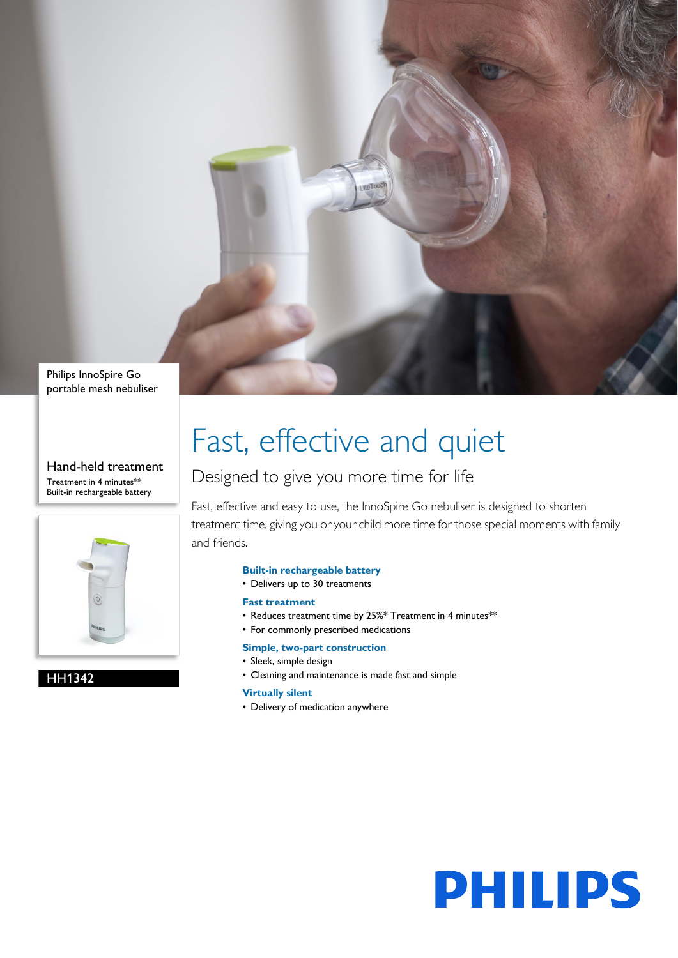

Philips InnoSpire Go portable mesh nebuliser

#### Hand-held treatment Treatment in 4 minutes\*\* Built-in rechargeable battery



HH1342

# Fast, effective and quiet

### Designed to give you more time for life

Fast, effective and easy to use, the InnoSpire Go nebuliser is designed to shorten treatment time, giving you or your child more time for those special moments with family and friends.

### **Built-in rechargeable battery**

• Delivers up to 30 treatments

### **Fast treatment**

- Reduces treatment time by 25%\* Treatment in 4 minutes\*\*
- For commonly prescribed medications

### **Simple, two-part construction**

- Sleek, simple design
- Cleaning and maintenance is made fast and simple

### **Virtually silent**

• Delivery of medication anywhere